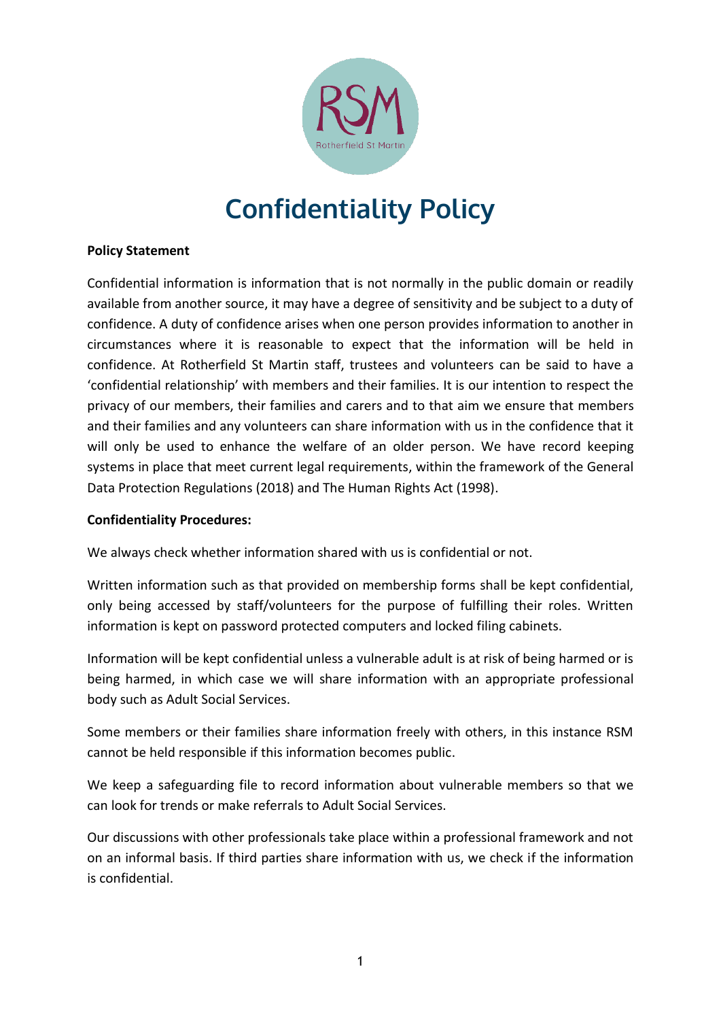

## **Confidentiality Policy**

## **Policy Statement**

Confidential information is information that is not normally in the public domain or readily available from another source, it may have a degree of sensitivity and be subject to a duty of confidence. A duty of confidence arises when one person provides information to another in circumstances where it is reasonable to expect that the information will be held in confidence. At Rotherfield St Martin staff, trustees and volunteers can be said to have a 'confidential relationship' with members and their families. It is our intention to respect the privacy of our members, their families and carers and to that aim we ensure that members and their families and any volunteers can share information with us in the confidence that it will only be used to enhance the welfare of an older person. We have record keeping systems in place that meet current legal requirements, within the framework of the General Data Protection Regulations (2018) and The Human Rights Act (1998).

## **Confidentiality Procedures:**

We always check whether information shared with us is confidential or not.

Written information such as that provided on membership forms shall be kept confidential, only being accessed by staff/volunteers for the purpose of fulfilling their roles. Written information is kept on password protected computers and locked filing cabinets.

Information will be kept confidential unless a vulnerable adult is at risk of being harmed or is being harmed, in which case we will share information with an appropriate professional body such as Adult Social Services.

Some members or their families share information freely with others, in this instance RSM cannot be held responsible if this information becomes public.

We keep a safeguarding file to record information about vulnerable members so that we can look for trends or make referrals to Adult Social Services.

Our discussions with other professionals take place within a professional framework and not on an informal basis. If third parties share information with us, we check if the information is confidential.